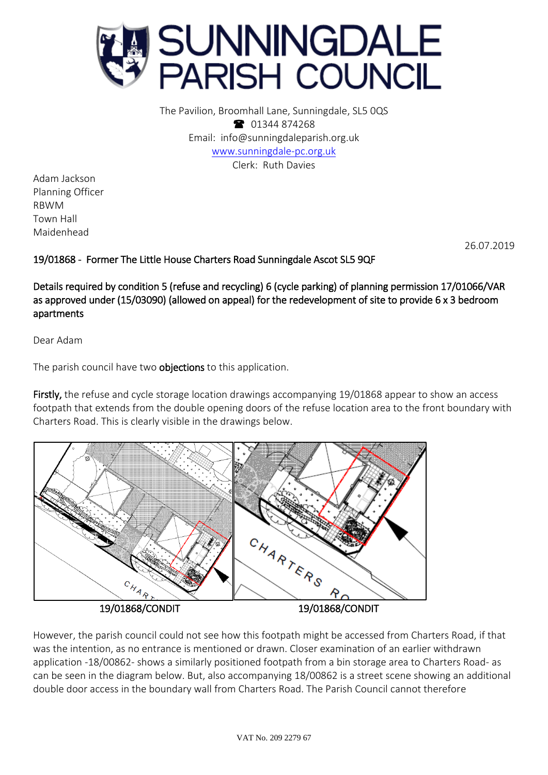

The Pavilion, Broomhall Lane, Sunningdale, SL5 0QS **1** 01344 874268 Email: info@sunningdaleparish.org.uk [www.sunningdale-pc.org.uk](http://www.sunningdale-pc.org.uk/) Clerk: Ruth Davies

Adam Jackson Planning Officer RBWM Town Hall Maidenhead

26.07.2019

## 19/01868 - Former The Little House Charters Road Sunningdale Ascot SL5 9QF

Details required by condition 5 (refuse and recycling) 6 (cycle parking) of planning permission 17/01066/VAR as approved under (15/03090) (allowed on appeal) for the redevelopment of site to provide 6 x 3 bedroom apartments

Dear Adam

The parish council have two **objections** to this application.

Firstly, the refuse and cycle storage location drawings accompanying 19/01868 appear to show an access footpath that extends from the double opening doors of the refuse location area to the front boundary with Charters Road. This is clearly visible in the drawings below.



However, the parish council could not see how this footpath might be accessed from Charters Road, if that was the intention, as no entrance is mentioned or drawn. Closer examination of an earlier withdrawn application -18/00862- shows a similarly positioned footpath from a bin storage area to Charters Road- as can be seen in the diagram below. But, also accompanying 18/00862 is a street scene showing an additional double door access in the boundary wall from Charters Road. The Parish Council cannot therefore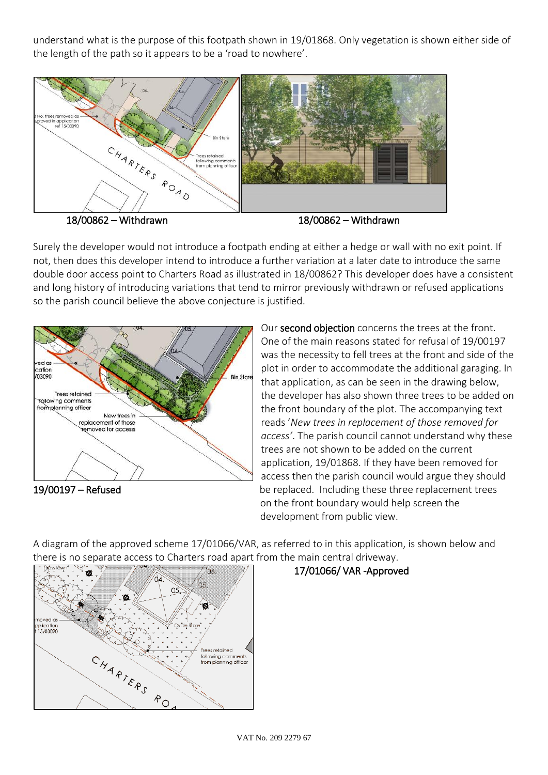understand what is the purpose of this footpath shown in 19/01868. Only vegetation is shown either side of the length of the path so it appears to be a 'road to nowhere'.



Surely the developer would not introduce a footpath ending at either a hedge or wall with no exit point. If not, then does this developer intend to introduce a further variation at a later date to introduce the same double door access point to Charters Road as illustrated in 18/00862? This developer does have a consistent and long history of introducing variations that tend to mirror previously withdrawn or refused applications so the parish council believe the above conjecture is justified.



Our second objection concerns the trees at the front. One of the main reasons stated for refusal of 19/00197 was the necessity to fell trees at the front and side of the plot in order to accommodate the additional garaging. In that application, as can be seen in the drawing below, the developer has also shown three trees to be added on the front boundary of the plot. The accompanying text reads '*New trees in replacement of those removed for access'*. The parish council cannot understand why these trees are not shown to be added on the current application, 19/01868. If they have been removed for access then the parish council would argue they should 19/00197 – Refused **be replaced.** Including these three replacement trees on the front boundary would help screen the development from public view.

A diagram of the approved scheme 17/01066/VAR, as referred to in this application, is shown below and there is no separate access to Charters road apart from the main central driveway.



## 17/01066/ VAR -Approved